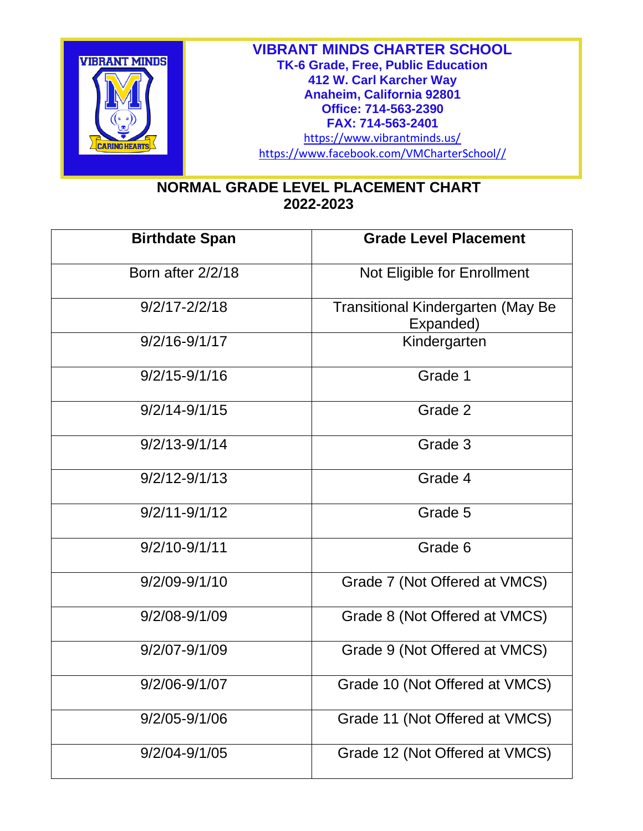

## **NORMAL GRADE LEVEL PLACEMENT CHART 2022-2023**

| <b>Birthdate Span</b> | <b>Grade Level Placement</b>                          |  |  |
|-----------------------|-------------------------------------------------------|--|--|
| Born after 2/2/18     | Not Eligible for Enrollment                           |  |  |
| $9/2/17 - 2/2/18$     | <b>Transitional Kindergarten (May Be</b><br>Expanded) |  |  |
| $9/2/16 - 9/1/17$     | Kindergarten                                          |  |  |
| $9/2/15 - 9/1/16$     | Grade 1                                               |  |  |
| $9/2/14 - 9/1/15$     | Grade 2                                               |  |  |
| $9/2/13 - 9/1/14$     | Grade 3                                               |  |  |
| $9/2/12 - 9/1/13$     | Grade 4                                               |  |  |
| $9/2/11 - 9/1/12$     | Grade 5                                               |  |  |
| $9/2/10 - 9/1/11$     | Grade 6                                               |  |  |
| $9/2/09 - 9/1/10$     | Grade 7 (Not Offered at VMCS)                         |  |  |
| $9/2/08 - 9/1/09$     | Grade 8 (Not Offered at VMCS)                         |  |  |
| $9/2/07 - 9/1/09$     | Grade 9 (Not Offered at VMCS)                         |  |  |
| $9/2/06 - 9/1/07$     | Grade 10 (Not Offered at VMCS)                        |  |  |
| $9/2/05 - 9/1/06$     | Grade 11 (Not Offered at VMCS)                        |  |  |
| 9/2/04-9/1/05         | Grade 12 (Not Offered at VMCS)                        |  |  |